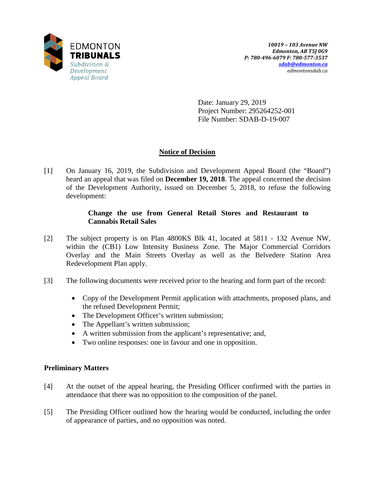

Date: January 29, 2019 Project Number: 295264252-001 File Number: SDAB-D-19-007

# **Notice of Decision**

[1] On January 16, 2019, the Subdivision and Development Appeal Board (the "Board") heard an appeal that was filed on **December 19, 2018**. The appeal concerned the decision of the Development Authority, issued on December 5, 2018, to refuse the following development:

## **Change the use from General Retail Stores and Restaurant to Cannabis Retail Sales**

- [2] The subject property is on Plan 4800KS Blk 41, located at 5811 132 Avenue NW, within the (CB1) Low Intensity Business Zone. The Major Commercial Corridors Overlay and the Main Streets Overlay as well as the Belvedere Station Area Redevelopment Plan apply.
- [3] The following documents were received prior to the hearing and form part of the record:
	- Copy of the Development Permit application with attachments, proposed plans, and the refused Development Permit;
	- The Development Officer's written submission;
	- The Appellant's written submission;
	- A written submission from the applicant's representative; and,
	- Two online responses: one in favour and one in opposition.

### **Preliminary Matters**

- [4] At the outset of the appeal hearing, the Presiding Officer confirmed with the parties in attendance that there was no opposition to the composition of the panel.
- [5] The Presiding Officer outlined how the hearing would be conducted, including the order of appearance of parties, and no opposition was noted.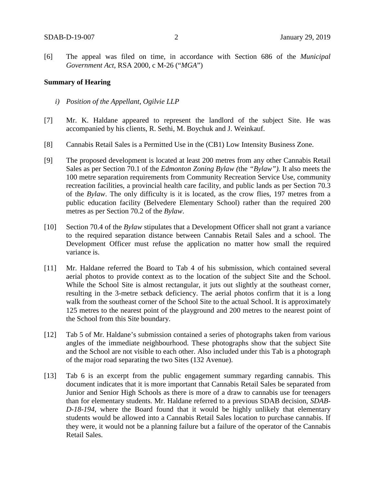[6] The appeal was filed on time, in accordance with Section 686 of the *Municipal Government Act*, RSA 2000, c M-26 ("*MGA*")

#### **Summary of Hearing**

- *i) Position of the Appellant, Ogilvie LLP*
- [7] Mr. K. Haldane appeared to represent the landlord of the subject Site. He was accompanied by his clients, R. Sethi, M. Boychuk and J. Weinkauf.
- [8] Cannabis Retail Sales is a Permitted Use in the (CB1) Low Intensity Business Zone.
- [9] The proposed development is located at least 200 metres from any other Cannabis Retail Sales as per Section 70.1 of the *Edmonton Zoning Bylaw (*the *"Bylaw").* It also meets the 100 metre separation requirements from Community Recreation Service Use, community recreation facilities, a provincial health care facility, and public lands as per Section 70.3 of the *Bylaw*. The only difficulty is it is located, as the crow flies, 197 metres from a public education facility (Belvedere Elementary School) rather than the required 200 metres as per Section 70.2 of the *Bylaw*.
- [10] Section 70.4 of the *Bylaw* stipulates that a Development Officer shall not grant a variance to the required separation distance between Cannabis Retail Sales and a school. The Development Officer must refuse the application no matter how small the required variance is.
- [11] Mr. Haldane referred the Board to Tab 4 of his submission, which contained several aerial photos to provide context as to the location of the subject Site and the School. While the School Site is almost rectangular, it juts out slightly at the southeast corner, resulting in the 3-metre setback deficiency. The aerial photos confirm that it is a long walk from the southeast corner of the School Site to the actual School. It is approximately 125 metres to the nearest point of the playground and 200 metres to the nearest point of the School from this Site boundary.
- [12] Tab 5 of Mr. Haldane's submission contained a series of photographs taken from various angles of the immediate neighbourhood. These photographs show that the subject Site and the School are not visible to each other. Also included under this Tab is a photograph of the major road separating the two Sites (132 Avenue).
- [13] Tab 6 is an excerpt from the public engagement summary regarding cannabis. This document indicates that it is more important that Cannabis Retail Sales be separated from Junior and Senior High Schools as there is more of a draw to cannabis use for teenagers than for elementary students. Mr. Haldane referred to a previous SDAB decision, *SDAB-D-18-194*, where the Board found that it would be highly unlikely that elementary students would be allowed into a Cannabis Retail Sales location to purchase cannabis. If they were, it would not be a planning failure but a failure of the operator of the Cannabis Retail Sales.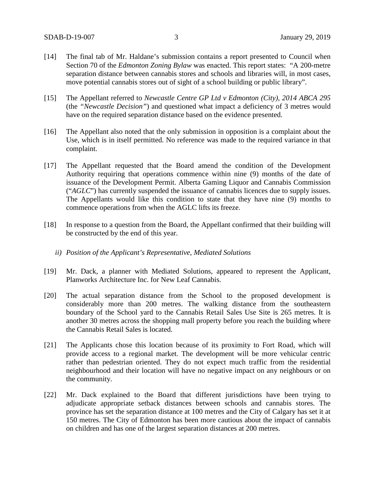- [14] The final tab of Mr. Haldane's submission contains a report presented to Council when Section 70 of the *Edmonton Zoning Bylaw* was enacted. This report states: "A 200-metre separation distance between cannabis stores and schools and libraries will, in most cases, move potential cannabis stores out of sight of a school building or public library".
- [15] The Appellant referred to *Newcastle Centre GP Ltd v Edmonton (City), 2014 ABCA 295* (the *"Newcastle Decision"*) and questioned what impact a deficiency of 3 metres would have on the required separation distance based on the evidence presented.
- [16] The Appellant also noted that the only submission in opposition is a complaint about the Use, which is in itself permitted. No reference was made to the required variance in that complaint.
- [17] The Appellant requested that the Board amend the condition of the Development Authority requiring that operations commence within nine (9) months of the date of issuance of the Development Permit. Alberta Gaming Liquor and Cannabis Commission ("*AGLC*") has currently suspended the issuance of cannabis licences due to supply issues. The Appellants would like this condition to state that they have nine (9) months to commence operations from when the AGLC lifts its freeze.
- [18] In response to a question from the Board, the Appellant confirmed that their building will be constructed by the end of this year.
	- *ii) Position of the Applicant's Representative, Mediated Solutions*
- [19] Mr. Dack, a planner with Mediated Solutions, appeared to represent the Applicant, Planworks Architecture Inc. for New Leaf Cannabis.
- [20] The actual separation distance from the School to the proposed development is considerably more than 200 metres. The walking distance from the southeastern boundary of the School yard to the Cannabis Retail Sales Use Site is 265 metres. It is another 30 metres across the shopping mall property before you reach the building where the Cannabis Retail Sales is located.
- [21] The Applicants chose this location because of its proximity to Fort Road, which will provide access to a regional market. The development will be more vehicular centric rather than pedestrian oriented. They do not expect much traffic from the residential neighbourhood and their location will have no negative impact on any neighbours or on the community.
- [22] Mr. Dack explained to the Board that different jurisdictions have been trying to adjudicate appropriate setback distances between schools and cannabis stores. The province has set the separation distance at 100 metres and the City of Calgary has set it at 150 metres. The City of Edmonton has been more cautious about the impact of cannabis on children and has one of the largest separation distances at 200 metres.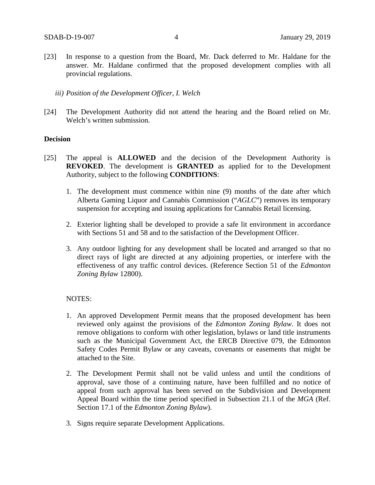[23] In response to a question from the Board, Mr. Dack deferred to Mr. Haldane for the answer. Mr. Haldane confirmed that the proposed development complies with all provincial regulations.

*iii) Position of the Development Officer, I. Welch*

[24] The Development Authority did not attend the hearing and the Board relied on Mr. Welch's written submission.

#### **Decision**

- [25] The appeal is **ALLOWED** and the decision of the Development Authority is **REVOKED**. The development is **GRANTED** as applied for to the Development Authority, subject to the following **CONDITIONS**:
	- 1. The development must commence within nine (9) months of the date after which Alberta Gaming Liquor and Cannabis Commission ("*AGLC*") removes its temporary suspension for accepting and issuing applications for Cannabis Retail licensing.
	- 2. Exterior lighting shall be developed to provide a safe lit environment in accordance with Sections 51 and 58 and to the satisfaction of the Development Officer.
	- 3. Any outdoor lighting for any development shall be located and arranged so that no direct rays of light are directed at any adjoining properties, or interfere with the effectiveness of any traffic control devices. (Reference Section 51 of the *Edmonton Zoning Bylaw* 12800).

#### NOTES:

- 1. An approved Development Permit means that the proposed development has been reviewed only against the provisions of the *Edmonton Zoning Bylaw*. It does not remove obligations to conform with other legislation, bylaws or land title instruments such as the Municipal Government Act, the ERCB Directive 079, the Edmonton Safety Codes Permit Bylaw or any caveats, covenants or easements that might be attached to the Site.
- 2. The Development Permit shall not be valid unless and until the conditions of approval, save those of a continuing nature, have been fulfilled and no notice of appeal from such approval has been served on the Subdivision and Development Appeal Board within the time period specified in Subsection 21.1 of the *MGA* (Ref. Section 17.1 of the *Edmonton Zoning Bylaw*).
- 3. Signs require separate Development Applications.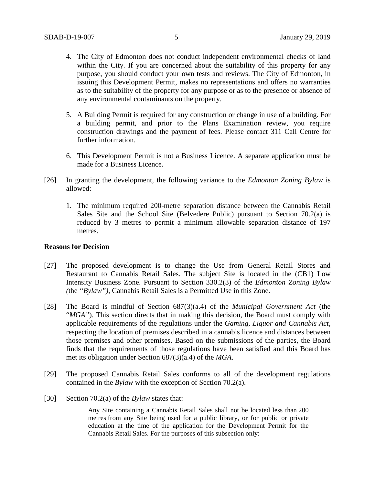- 4. The City of Edmonton does not conduct independent environmental checks of land within the City. If you are concerned about the suitability of this property for any purpose, you should conduct your own tests and reviews. The City of Edmonton, in issuing this Development Permit, makes no representations and offers no warranties as to the suitability of the property for any purpose or as to the presence or absence of any environmental contaminants on the property.
- 5. A Building Permit is required for any construction or change in use of a building. For a building permit, and prior to the Plans Examination review, you require construction drawings and the payment of fees. Please contact 311 Call Centre for further information.
- 6. This Development Permit is not a Business Licence. A separate application must be made for a Business Licence.
- [26] In granting the development, the following variance to the *Edmonton Zoning Bylaw* is allowed:
	- 1. The minimum required 200-metre separation distance between the Cannabis Retail Sales Site and the School Site (Belvedere Public) pursuant to Section 70.2(a) is reduced by 3 metres to permit a minimum allowable separation distance of 197 metres.

## **Reasons for Decision**

- [27] The proposed development is to change the Use from General Retail Stores and Restaurant to Cannabis Retail Sales. The subject Site is located in the (CB1) Low Intensity Business Zone. Pursuant to Section 330.2(3) of the *Edmonton Zoning Bylaw (*the *"Bylaw")*, Cannabis Retail Sales is a Permitted Use in this Zone.
- [28] The Board is mindful of Section 687(3)(a.4) of the *Municipal Government Act* (the "*MGA*"). This section directs that in making this decision, the Board must comply with applicable requirements of the regulations under the *Gaming, Liquor and Cannabis Act*, respecting the location of premises described in a cannabis licence and distances between those premises and other premises. Based on the submissions of the parties, the Board finds that the requirements of those regulations have been satisfied and this Board has met its obligation under Section 687(3)(a.4) of the *MGA*.
- [29] The proposed Cannabis Retail Sales conforms to all of the development regulations contained in the *Bylaw* with the exception of Section 70.2(a).
- [30] Section 70.2(a) of the *Bylaw* states that:

Any Site containing a Cannabis Retail Sales shall not be located less than [200](javascript:void(0);)  [me](javascript:void(0);)tres from any Site being used for a public library, or for public or private education at the time of the application for the Development Permit for the Cannabis Retail Sales. For the purposes of this subsection only: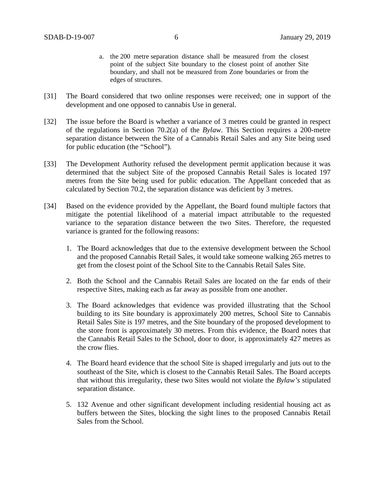- a. the [200 me](javascript:void(0);)tre separation distance shall be measured from the closest point of the subject Site boundary to the closest point of another Site boundary, and shall not be measured from Zone boundaries or from the edges of structures.
- [31] The Board considered that two online responses were received; one in support of the development and one opposed to cannabis Use in general.
- [32] The issue before the Board is whether a variance of 3 metres could be granted in respect of the regulations in Section 70.2(a) of the *Bylaw*. This Section requires a 200-metre separation distance between the Site of a Cannabis Retail Sales and any Site being used for public education (the "School").
- [33] The Development Authority refused the development permit application because it was determined that the subject Site of the proposed Cannabis Retail Sales is located 197 metres from the Site being used for public education. The Appellant conceded that as calculated by Section 70.2, the separation distance was deficient by 3 metres.
- [34] Based on the evidence provided by the Appellant, the Board found multiple factors that mitigate the potential likelihood of a material impact attributable to the requested variance to the separation distance between the two Sites. Therefore, the requested variance is granted for the following reasons:
	- 1. The Board acknowledges that due to the extensive development between the School and the proposed Cannabis Retail Sales, it would take someone walking 265 metres to get from the closest point of the School Site to the Cannabis Retail Sales Site.
	- 2. Both the School and the Cannabis Retail Sales are located on the far ends of their respective Sites, making each as far away as possible from one another.
	- 3. The Board acknowledges that evidence was provided illustrating that the School building to its Site boundary is approximately 200 metres, School Site to Cannabis Retail Sales Site is 197 metres, and the Site boundary of the proposed development to the store front is approximately 30 metres. From this evidence, the Board notes that the Cannabis Retail Sales to the School, door to door, is approximately 427 metres as the crow flies.
	- 4. The Board heard evidence that the school Site is shaped irregularly and juts out to the southeast of the Site, which is closest to the Cannabis Retail Sales. The Board accepts that without this irregularity, these two Sites would not violate the *Bylaw's* stipulated separation distance.
	- 5. 132 Avenue and other significant development including residential housing act as buffers between the Sites, blocking the sight lines to the proposed Cannabis Retail Sales from the School.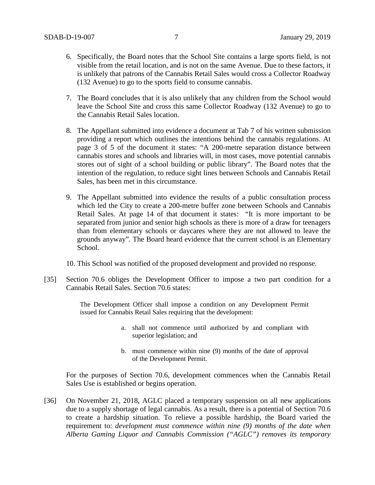- 6. Specifically, the Board notes that the School Site contains a large sports field, is not visible from the retail location, and is not on the same Avenue. Due to these factors, it is unlikely that patrons of the Cannabis Retail Sales would cross a Collector Roadway (132 Avenue) to go to the sports field to consume cannabis.
- 7. The Board concludes that it is also unlikely that any children from the School would leave the School Site and cross this same Collector Roadway (132 Avenue) to go to the Cannabis Retail Sales location.
- 8. The Appellant submitted into evidence a document at Tab 7 of his written submission providing a report which outlines the intentions behind the cannabis regulations. At page 3 of 5 of the document it states: "A 200-metre separation distance between cannabis stores and schools and libraries will, in most cases, move potential cannabis stores out of sight of a school building or public library". The Board notes that the intention of the regulation, to reduce sight lines between Schools and Cannabis Retail Sales, has been met in this circumstance.
- 9. The Appellant submitted into evidence the results of a public consultation process which led the City to create a 200-metre buffer zone between Schools and Cannabis Retail Sales. At page 14 of that document it states: "It is more important to be separated from junior and senior high schools as there is more of a draw for teenagers than from elementary schools or daycares where they are not allowed to leave the grounds anyway". The Board heard evidence that the current school is an Elementary School.
- 10. This School was notified of the proposed development and provided no response.
- [35] Section 70.6 obliges the Development Officer to impose a two part condition for a Cannabis Retail Sales. Section 70.6 states:

The Development Officer shall impose a condition on any Development Permit issued for Cannabis Retail Sales requiring that the development:

- a. shall not commence until authorized by and compliant with superior legislation; and
- b. must commence within nine (9) months of the date of approval of the Development Permit.

For the purposes of Section 70.6, development commences when the Cannabis Retail Sales Use is established or begins operation.

[36] On November 21, 2018, AGLC placed a temporary suspension on all new applications due to a supply shortage of legal cannabis. As a result, there is a potential of Section 70.6 to create a hardship situation. To relieve a possible hardship, the Board varied the requirement to: *development must commence within nine (9) months of the date when Alberta Gaming Liquor and Cannabis Commission ("AGLC") removes its temporary*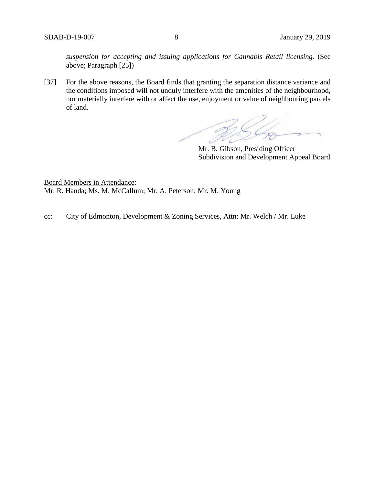*suspension for accepting and issuing applications for Cannabis Retail licensing.* (See above; Paragraph [25])

[37] For the above reasons, the Board finds that granting the separation distance variance and the conditions imposed will not unduly interfere with the amenities of the neighbourhood, nor materially interfere with or affect the use, enjoyment or value of neighbouring parcels of land.

Mr. B. Gibson, Presiding Officer Subdivision and Development Appeal Board

Board Members in Attendance: Mr. R. Handa; Ms. M. McCallum; Mr. A. Peterson; Mr. M. Young

cc: City of Edmonton, Development & Zoning Services, Attn: Mr. Welch / Mr. Luke